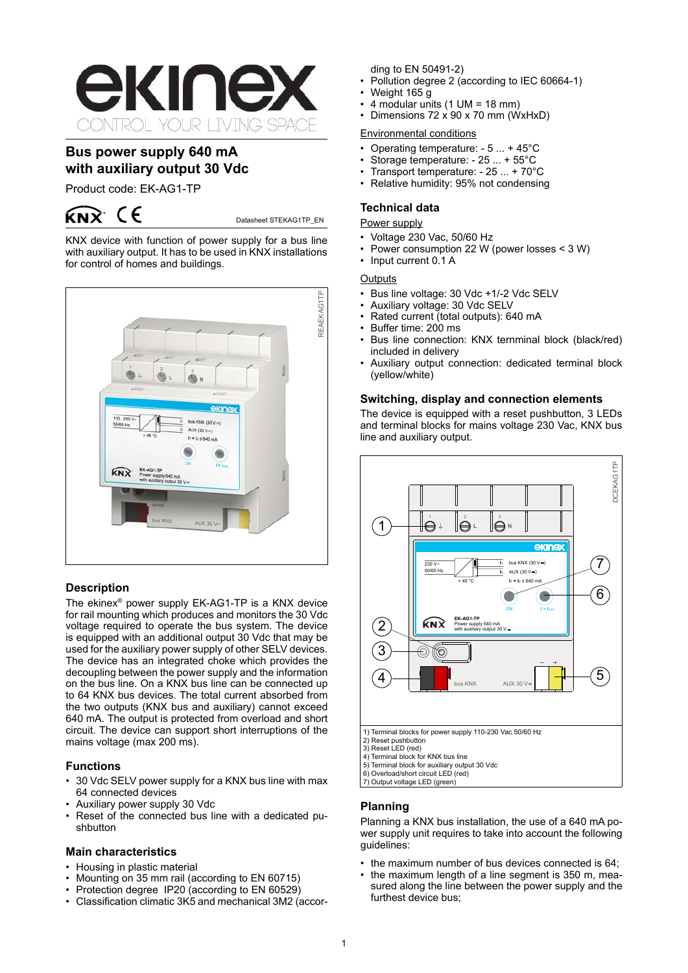

# **Bus power supply 640 mA with auxiliary output 30 Vdc**

Product code: EK-AG1-TP



Datasheet STEKAG1TP\_EN

KNX device with function of power supply for a bus line with auxiliary output. It has to be used in KNX installations for control of homes and buildings.



# **Description**

The ekinex® power supply EK-AG1-TP is a KNX device for rail mounting which produces and monitors the 30 Vdc voltage required to operate the bus system. The device is equipped with an additional output 30 Vdc that may be used for the auxiliary power supply of other SELV devices. The device has an integrated choke which provides the decoupling between the power supply and the information on the bus line. On a KNX bus line can be connected up to 64 KNX bus devices. The total current absorbed from the two outputs (KNX bus and auxiliary) cannot exceed 640 mA. The output is protected from overload and short circuit. The device can support short interruptions of the mains voltage (max 200 ms).

# **Functions**

- 30 Vdc SELV power supply for a KNX bus line with max 64 connected devices
- Auxiliary power supply 30 Vdc
- Reset of the connected bus line with a dedicated pushbutton

### **Main characteristics**

- Housing in plastic material
- Mounting on 35 mm rail (according to EN 60715)
- 
- Protection degree IP20 (according to EN 60529)<br>• Classification climatic 3K5 and mechanical 3M2 (accor-

ding to EN 50491-2)

- Pollution degree 2 (according to IEC 60664-1)
- Weight 165 g
- 4 modular units  $(1 \text{ UM} = 18 \text{ mm})$
- Dimensions  $72 \times 90 \times 70$  mm (WxHxD)

### Environmental conditions

- Operating temperature:  $-5... + 45^{\circ}$ C
- Storage temperature:  $-25... + 55^{\circ}$ C<br>• Transport temperature:  $25 + 70^{\circ}$
- Transport temperature:  $-25... + 70^{\circ}$ C<br>• Relative humidity: 95% not condensing
- Relative humidity: 95% not condensing

## **Technical data**

# Power supply

- 
- Voltage 230 Vac, 50/60 Hz<br>• Power consumption 22 W ( Power consumption 22 W (power losses  $<$  3 W)
- Input current 0.1 A

### **Outputs**

- Bus line voltage: 30 Vdc +1/-2 Vdc SELV
- Auxiliary voltage: 30 Vdc SELV
- Rated current (total outputs): 640 mA
- Buffer time: 200 ms
- Bus line connection: KNX ternminal block (black/red) included in delivery
- Auxiliary output connection: dedicated terminal block (yellow/white)

### **Switching, display and connection elements**

The device is equipped with a reset pushbutton, 3 LEDs and terminal blocks for mains voltage 230 Vac, KNX bus line and auxiliary output.



# **Planning**

Planning a KNX bus installation, the use of a 640 mA power supply unit requires to take into account the following guidelines:

- the maximum number of bus devices connected is 64:
- the maximum length of a line segment is  $350$  m, measured along the line between the power supply and the furthest device bus;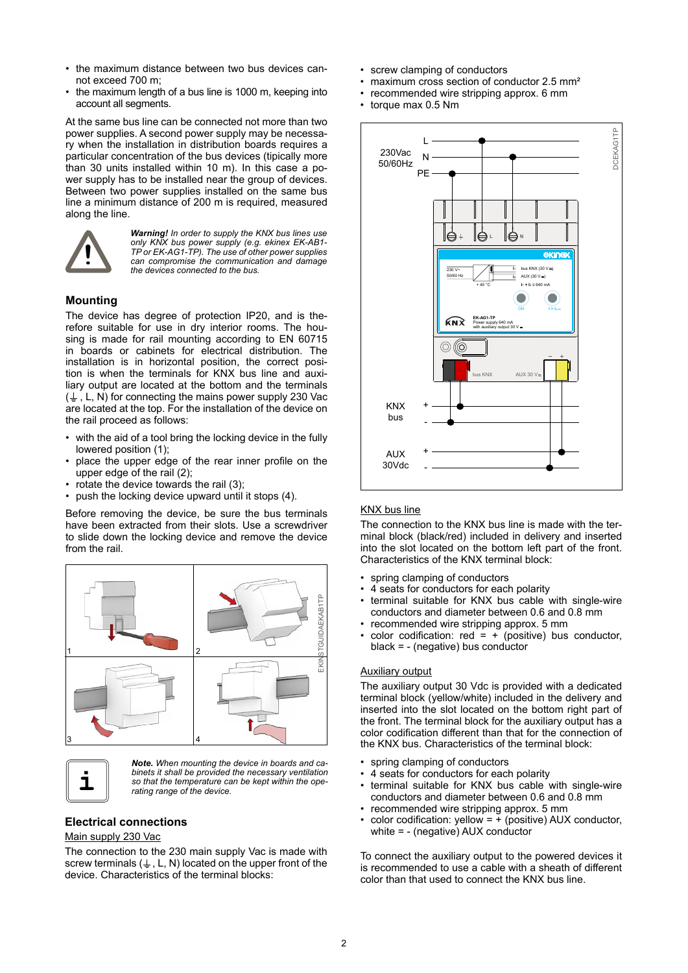- the maximum distance between two bus devices cannot exceed 700 m;
- the maximum length of a bus line is 1000 m, keeping into account all segments.

At the same bus line can be connected not more than two power supplies. A second power supply may be necessary when the installation in distribution boards requires a particular concentration of the bus devices (tipically more than 30 units installed within 10 m). In this case a power supply has to be installed near the group of devices. Between two power supplies installed on the same bus line a minimum distance of 200 m is required, measured along the line.



*Warning! In order to supply the KNX bus lines use only KNX bus power supply (e.g. ekinex EK-AB1- TP or EK-AG1-TP). The use of other power supplies can compromise the communication and damage the devices connected to the bus.*

# **Mounting**

The device has degree of protection IP20, and is therefore suitable for use in dry interior rooms. The housing is made for rail mounting according to EN 60715 in boards or cabinets for electrical distribution. The installation is in horizontal position, the correct position is when the terminals for KNX bus line and auxiliary output are located at the bottom and the terminals  $(\frac{1}{2}, L, N)$  for connecting the mains power supply 230 Vac are located at the top. For the installation of the device on the rail proceed as follows:

- with the aid of a tool bring the locking device in the fully lowered position (1);
- place the upper edge of the rear inner profile on the upper edge of the rail (2);
- rotate the device towards the rail (3);
- push the locking device upward until it stops (4).

Before removing the device, be sure the bus terminals have been extracted from their slots. Use a screwdriver to slide down the locking device and remove the device from the rail.





*Note. When mounting the device in boards and cabinets it shall be provided the necessary ventilation so that the temperature can be kept within the operating range of the device.*

### **Electrical connections**

#### Main supply 230 Vac

The connection to the 230 main supply Vac is made with screw terminals ( $\downarrow$ , L, N) located on the upper front of the device. Characteristics of the terminal blocks:

- • screw clamping of conductors
- maximum cross section of conductor 2.5 mm<sup>2</sup>
- recommended wire stripping approx. 6 mm
- torque max 0.5 Nm



### KNX bus line

The connection to the KNX bus line is made with the terminal block (black/red) included in delivery and inserted into the slot located on the bottom left part of the front. Characteristics of the KNX terminal block:

- spring clamping of conductors
- 4 seats for conductors for each polarity
- terminal suitable for KNX bus cable with single-wire conductors and diameter between 0.6 and 0.8 mm
- recommended wire stripping approx. 5 mm color codification:  $red = + (positive)$  bus conductor,
- black = (negative) bus conductor

## Auxiliary output

The auxiliary output 30 Vdc is provided with a dedicated terminal block (yellow/white) included in the delivery and inserted into the slot located on the bottom right part of the front. The terminal block for the auxiliary output has a color codification different than that for the connection of the KNX bus. Characteristics of the terminal block:

- spring clamping of conductors
- 4 seats for conductors for each polarity
- terminal suitable for KNX bus cable with single-wire conductors and diameter between 0.6 and 0.8 mm
- recommended wire stripping approx. 5 mm
- color codification: yellow =  $+$  (positive) AUX conductor, white = - (negative) AUX conductor

To connect the auxiliary output to the powered devices it is recommended to use a cable with a sheath of different color than that used to connect the KNX bus line.